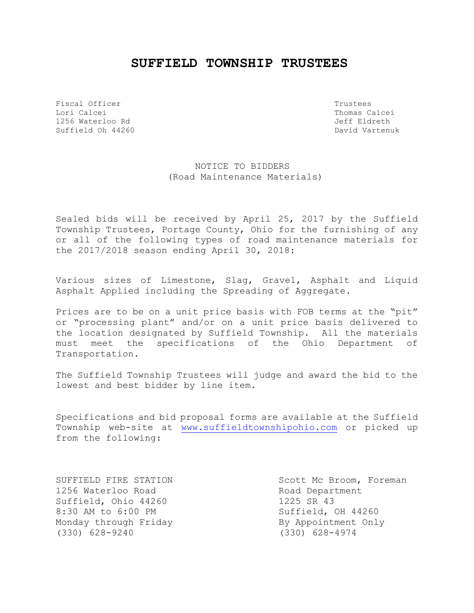## **SUFFIELD TOWNSHIP TRUSTEES**

Fiscal Officer Trustees Lori Calcei Thomas Calcei 1256 Waterloo Rd Jeff Eldreth Suffield Oh 44260 **David Vartenuk** David Vartenuk

NOTICE TO BIDDERS (Road Maintenance Materials)

Sealed bids will be received by April 25, 2017 by the Suffield Township Trustees, Portage County, Ohio for the furnishing of any or all of the following types of road maintenance materials for the 2017/2018 season ending April 30, 2018:

Various sizes of Limestone, Slag, Gravel, Asphalt and Liquid Asphalt Applied including the Spreading of Aggregate.

Prices are to be on a unit price basis with FOB terms at the "pit" or "processing plant" and/or on a unit price basis delivered to the location designated by Suffield Township. All the materials must meet the specifications of the Ohio Department of Transportation.

The Suffield Township Trustees will judge and award the bid to the lowest and best bidder by line item.

Specifications and bid proposal forms are available at the Suffield Township web-site at [www.suffieldtownshipohio.com](http://www.suffieldtownshipohio.com/) or picked up from the following:

1256 Waterloo Road and Road Department Suffield, Ohio 44260 1225 SR 43 8:30 AM to 6:00 PM Suffield, OH 44260 Monday through Friday **By Appointment Only** (330) 628-9240 (330) 628-4974

SUFFIELD FIRE STATION SCOTT MESS SCOTT MC Broom, Foreman